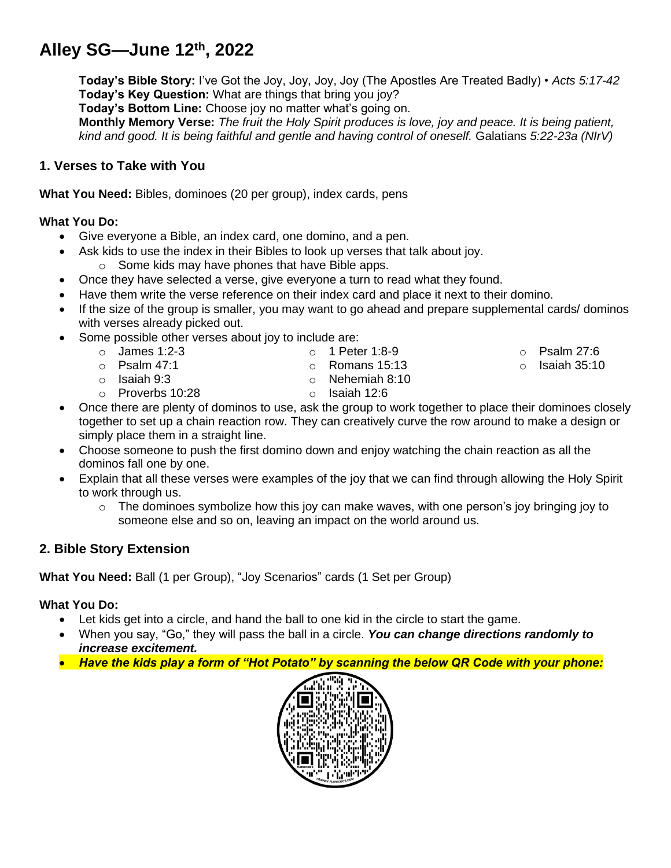# **Alley SG—June 12th , 2022**

**Today's Bible Story:** I've Got the Joy, Joy, Joy, Joy (The Apostles Are Treated Badly) • *Acts 5:17-42* **Today's Key Question:** What are things that bring you joy?

**Today's Bottom Line:** Choose joy no matter what's going on.

**Monthly Memory Verse:** *The fruit the Holy Spirit produces is love, joy and peace. It is being patient, kind and good. It is being faithful and gentle and having control of oneself.* Galatians *5:22-23a (NIrV)*

# **1. Verses to Take with You**

**What You Need:** Bibles, dominoes (20 per group), index cards, pens

## **What You Do:**

- Give everyone a Bible, an index card, one domino, and a pen.
- Ask kids to use the index in their Bibles to look up verses that talk about joy. o Some kids may have phones that have Bible apps.
- Once they have selected a verse, give everyone a turn to read what they found.
- Have them write the verse reference on their index card and place it next to their domino.
- If the size of the group is smaller, you may want to go ahead and prepare supplemental cards/ dominos with verses already picked out.
- Some possible other verses about joy to include are:
	- $\circ$  James 1:2-3 o Psalm 47:1 o Isaiah 9:3  $\circ$  1 Peter 1:8-9 o Romans 15:13 o Nehemiah 8:10  $\circ$  Psalm 27:6  $\circ$  Isaiah 35:10
		- o Proverbs 10:28
- o Isaiah 12:6
- Once there are plenty of dominos to use, ask the group to work together to place their dominoes closely together to set up a chain reaction row. They can creatively curve the row around to make a design or simply place them in a straight line.
- Choose someone to push the first domino down and enjoy watching the chain reaction as all the dominos fall one by one.
- Explain that all these verses were examples of the joy that we can find through allowing the Holy Spirit to work through us.
	- $\circ$  The dominoes symbolize how this joy can make waves, with one person's joy bringing joy to someone else and so on, leaving an impact on the world around us.

# **2. Bible Story Extension**

**What You Need:** Ball (1 per Group), "Joy Scenarios" cards (1 Set per Group)

## **What You Do:**

- Let kids get into a circle, and hand the ball to one kid in the circle to start the game.
- When you say, "Go," they will pass the ball in a circle. *You can change directions randomly to increase excitement.*
- *Have the kids play a form of "Hot Potato" by scanning the below QR Code with your phone:*